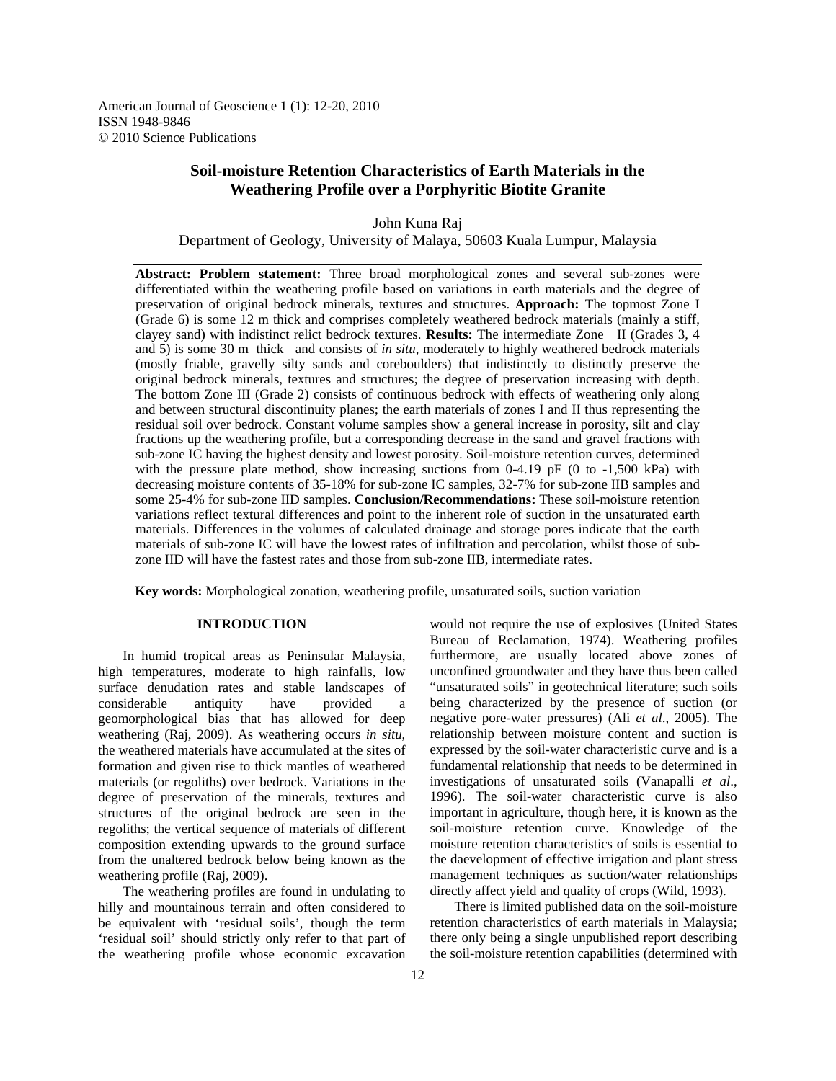American Journal of Geoscience 1 (1): 12-20, 2010 ISSN 1948-9846 © 2010 Science Publications

# **Soil-moisture Retention Characteristics of Earth Materials in the Weathering Profile over a Porphyritic Biotite Granite**

John Kuna Raj Department of Geology, University of Malaya, 50603 Kuala Lumpur, Malaysia

**Abstract: Problem statement:** Three broad morphological zones and several sub-zones were differentiated within the weathering profile based on variations in earth materials and the degree of preservation of original bedrock minerals, textures and structures. **Approach:** The topmost Zone I (Grade 6) is some 12 m thick and comprises completely weathered bedrock materials (mainly a stiff, clayey sand) with indistinct relict bedrock textures. **Results:** The intermediate Zone II (Grades 3, 4 and 5) is some 30 m thick and consists of *in situ*, moderately to highly weathered bedrock materials (mostly friable, gravelly silty sands and coreboulders) that indistinctly to distinctly preserve the original bedrock minerals, textures and structures; the degree of preservation increasing with depth. The bottom Zone III (Grade 2) consists of continuous bedrock with effects of weathering only along and between structural discontinuity planes; the earth materials of zones I and II thus representing the residual soil over bedrock. Constant volume samples show a general increase in porosity, silt and clay fractions up the weathering profile, but a corresponding decrease in the sand and gravel fractions with sub-zone IC having the highest density and lowest porosity. Soil-moisture retention curves, determined with the pressure plate method, show increasing suctions from  $0-4.19$  pF (0 to  $-1,500$  kPa) with decreasing moisture contents of 35-18% for sub-zone IC samples, 32-7% for sub-zone IIB samples and some 25-4% for sub-zone IID samples. **Conclusion/Recommendations:** These soil-moisture retention variations reflect textural differences and point to the inherent role of suction in the unsaturated earth materials. Differences in the volumes of calculated drainage and storage pores indicate that the earth materials of sub-zone IC will have the lowest rates of infiltration and percolation, whilst those of subzone IID will have the fastest rates and those from sub-zone IIB, intermediate rates.

**Key words:** Morphological zonation, weathering profile, unsaturated soils, suction variation

# **INTRODUCTION**

 In humid tropical areas as Peninsular Malaysia, high temperatures, moderate to high rainfalls, low surface denudation rates and stable landscapes of considerable antiquity have provided geomorphological bias that has allowed for deep weathering (Raj, 2009). As weathering occurs *in situ*, the weathered materials have accumulated at the sites of formation and given rise to thick mantles of weathered materials (or regoliths) over bedrock. Variations in the degree of preservation of the minerals, textures and structures of the original bedrock are seen in the regoliths; the vertical sequence of materials of different composition extending upwards to the ground surface from the unaltered bedrock below being known as the weathering profile (Raj, 2009).

 The weathering profiles are found in undulating to hilly and mountainous terrain and often considered to be equivalent with 'residual soils', though the term 'residual soil' should strictly only refer to that part of the weathering profile whose economic excavation would not require the use of explosives (United States Bureau of Reclamation, 1974). Weathering profiles furthermore, are usually located above zones of unconfined groundwater and they have thus been called "unsaturated soils" in geotechnical literature; such soils being characterized by the presence of suction (or negative pore-water pressures) (Ali *et al*., 2005). The relationship between moisture content and suction is expressed by the soil-water characteristic curve and is a fundamental relationship that needs to be determined in investigations of unsaturated soils (Vanapalli *et al*., 1996). The soil-water characteristic curve is also important in agriculture, though here, it is known as the soil-moisture retention curve. Knowledge of the moisture retention characteristics of soils is essential to the daevelopment of effective irrigation and plant stress management techniques as suction/water relationships directly affect yield and quality of crops (Wild, 1993).

 There is limited published data on the soil-moisture retention characteristics of earth materials in Malaysia; there only being a single unpublished report describing the soil-moisture retention capabilities (determined with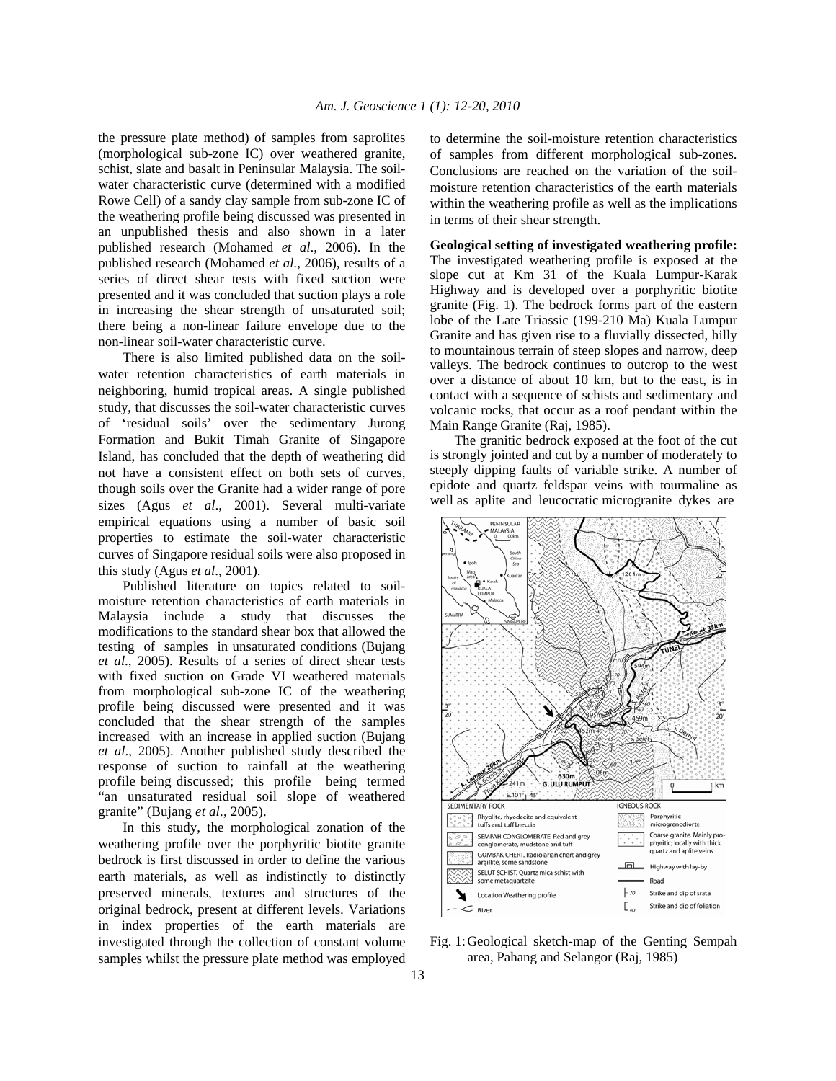the pressure plate method) of samples from saprolites (morphological sub-zone IC) over weathered granite, schist, slate and basalt in Peninsular Malaysia. The soilwater characteristic curve (determined with a modified Rowe Cell) of a sandy clay sample from sub-zone IC of the weathering profile being discussed was presented in an unpublished thesis and also shown in a later published research (Mohamed *et al*., 2006). In the published research (Mohamed *et al*., 2006), results of a series of direct shear tests with fixed suction were presented and it was concluded that suction plays a role in increasing the shear strength of unsaturated soil; there being a non-linear failure envelope due to the non-linear soil-water characteristic curve.

 There is also limited published data on the soilwater retention characteristics of earth materials in neighboring, humid tropical areas. A single published study, that discusses the soil-water characteristic curves of 'residual soils' over the sedimentary Jurong Formation and Bukit Timah Granite of Singapore Island, has concluded that the depth of weathering did not have a consistent effect on both sets of curves, though soils over the Granite had a wider range of pore sizes (Agus *et al*., 2001). Several multi-variate empirical equations using a number of basic soil properties to estimate the soil-water characteristic curves of Singapore residual soils were also proposed in this study (Agus *et al*., 2001).

 Published literature on topics related to soilmoisture retention characteristics of earth materials in Malaysia include a study that discusses the modifications to the standard shear box that allowed the testing of samples in unsaturated conditions (Bujang *et al*., 2005). Results of a series of direct shear tests with fixed suction on Grade VI weathered materials from morphological sub-zone IC of the weathering profile being discussed were presented and it was concluded that the shear strength of the samples increased with an increase in applied suction (Bujang *et al*., 2005). Another published study described the response of suction to rainfall at the weathering profile being discussed; this profile being termed "an unsaturated residual soil slope of weathered granite" (Bujang *et al*., 2005).

 In this study, the morphological zonation of the weathering profile over the porphyritic biotite granite bedrock is first discussed in order to define the various earth materials, as well as indistinctly to distinctly preserved minerals, textures and structures of the original bedrock, present at different levels. Variations in index properties of the earth materials are investigated through the collection of constant volume samples whilst the pressure plate method was employed to determine the soil-moisture retention characteristics of samples from different morphological sub-zones. Conclusions are reached on the variation of the soilmoisture retention characteristics of the earth materials within the weathering profile as well as the implications in terms of their shear strength.

**Geological setting of investigated weathering profile:**  The investigated weathering profile is exposed at the slope cut at Km 31 of the Kuala Lumpur-Karak Highway and is developed over a porphyritic biotite granite (Fig. 1). The bedrock forms part of the eastern lobe of the Late Triassic (199-210 Ma) Kuala Lumpur Granite and has given rise to a fluvially dissected, hilly to mountainous terrain of steep slopes and narrow, deep valleys. The bedrock continues to outcrop to the west over a distance of about 10 km, but to the east, is in contact with a sequence of schists and sedimentary and volcanic rocks, that occur as a roof pendant within the Main Range Granite (Raj, 1985).

 The granitic bedrock exposed at the foot of the cut is strongly jointed and cut by a number of moderately to steeply dipping faults of variable strike. A number of epidote and quartz feldspar veins with tourmaline as well as aplite and leucocratic microgranite dykes are



Fig. 1: Geological sketch-map of the Genting Sempah area, Pahang and Selangor (Raj, 1985)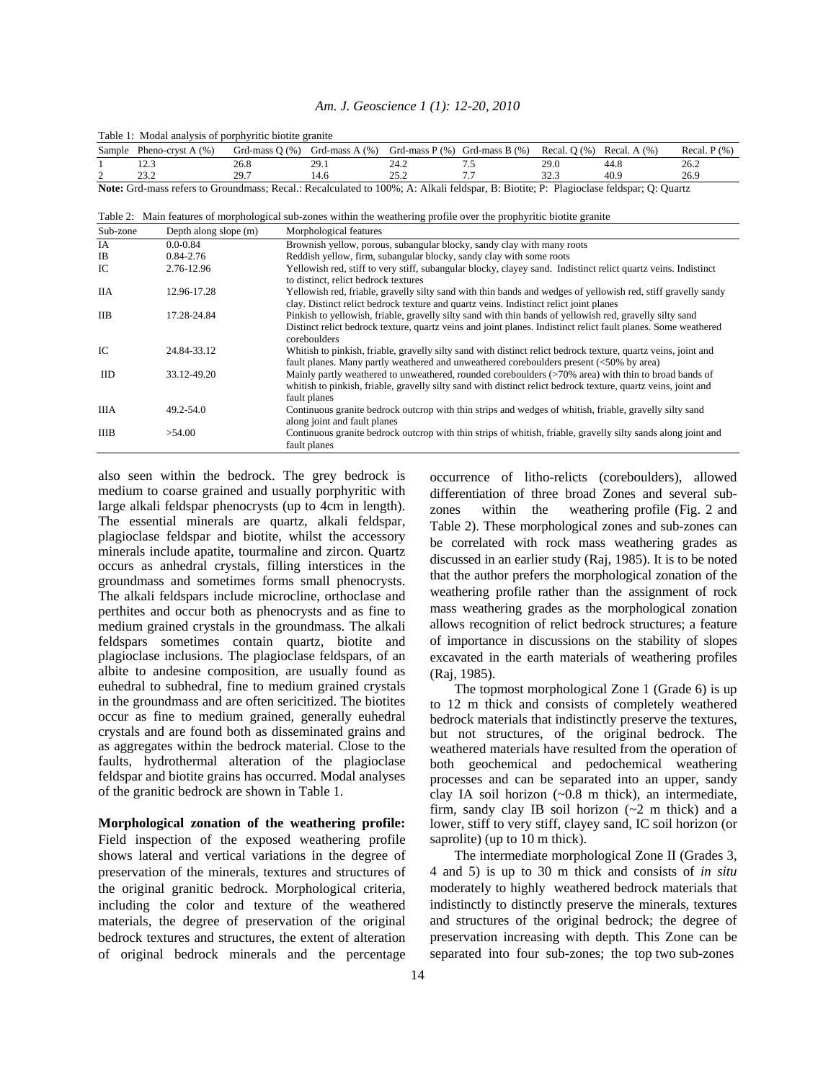## *Am. J. Geoscience 1 (1): 12-20, 2010*

|                                                                                                                                       | <b>Table 1:</b> Modal analysis of porphyfuld biolite grante |      |                                   |      |                                                                 |      |      |                 |  |
|---------------------------------------------------------------------------------------------------------------------------------------|-------------------------------------------------------------|------|-----------------------------------|------|-----------------------------------------------------------------|------|------|-----------------|--|
| Sample                                                                                                                                | Pheno-cryst A $(%)$                                         |      | Grd-mass $O(% )$ Grd-mass $A(% )$ |      | Grd-mass $P$ (%) Grd-mass $B$ (%) Recal, $Q$ (%) Recal, $A$ (%) |      |      | Recal. $P(\% )$ |  |
|                                                                                                                                       |                                                             | 26.8 | 29.1                              | 24.2 |                                                                 | 29.0 | 44.8 | 26.2            |  |
|                                                                                                                                       | າາ                                                          | 29.7 | ،4.6                              |      |                                                                 | 32.3 | 40.9 | 26.9            |  |
| Note: Grd-mass refers to Groundmass; Recal.: Recalculated to 100%; A: Alkali feldspar, B: Biotite; P: Plagioclase feldspar; Q: Quartz |                                                             |      |                                   |      |                                                                 |      |      |                 |  |

Table 1: Modal analysis of porphyritic biotite granite

Table 2: Main features of morphological sub-zones within the weathering profile over the prophyritic biotite granite

| Sub-zone    | Depth along slope (m) | Morphological features                                                                                                                                                                                                                     |
|-------------|-----------------------|--------------------------------------------------------------------------------------------------------------------------------------------------------------------------------------------------------------------------------------------|
| IA          | $0.0 - 0.84$          | Brownish yellow, porous, subangular blocky, sandy clay with many roots                                                                                                                                                                     |
| <b>IB</b>   | 0.84-2.76             | Reddish yellow, firm, subangular blocky, sandy clay with some roots                                                                                                                                                                        |
| IC          | 2.76-12.96            | Yellowish red, stiff to very stiff, subangular blocky, clayey sand. Indistinct relict quartz veins. Indistinct<br>to distinct, relict bedrock textures                                                                                     |
| <b>IIA</b>  | 12.96-17.28           | Yellowish red, friable, gravelly silty sand with thin bands and wedges of yellowish red, stiff gravelly sandy<br>clay. Distinct relict bedrock texture and quartz veins. Indistinct relict joint planes                                    |
| <b>IIB</b>  | 17.28-24.84           | Pinkish to yellowish, friable, gravelly silty sand with thin bands of yellowish red, gravelly silty sand<br>Distinct relict bedrock texture, quartz veins and joint planes. Indistinct relict fault planes. Some weathered<br>coreboulders |
| IC.         | 24.84-33.12           | Whitish to pinkish, friable, gravelly silty sand with distinct relict bedrock texture, quartz veins, joint and<br>fault planes. Many partly weathered and unweathered coreboulders present (<50% by area)                                  |
| <b>IID</b>  | 33.12-49.20           | Mainly partly weathered to unweathered, rounded coreboulders (>70% area) with thin to broad bands of<br>whitish to pinkish, friable, gravelly silty sand with distinct relict bedrock texture, quartz veins, joint and<br>fault planes     |
| <b>IIIA</b> | $49.2 - 54.0$         | Continuous granite bedrock outcrop with thin strips and wedges of whitish, friable, gravelly silty sand<br>along joint and fault planes                                                                                                    |
| <b>IIIB</b> | >54.00                | Continuous granite bedrock outcrop with thin strips of whitish, friable, gravelly silty sands along joint and<br>fault planes                                                                                                              |

also seen within the bedrock. The grey bedrock is medium to coarse grained and usually porphyritic with large alkali feldspar phenocrysts (up to 4cm in length). The essential minerals are quartz, alkali feldspar, plagioclase feldspar and biotite, whilst the accessory minerals include apatite, tourmaline and zircon. Quartz occurs as anhedral crystals, filling interstices in the groundmass and sometimes forms small phenocrysts. The alkali feldspars include microcline, orthoclase and perthites and occur both as phenocrysts and as fine to medium grained crystals in the groundmass. The alkali feldspars sometimes contain quartz, biotite and plagioclase inclusions. The plagioclase feldspars, of an albite to andesine composition, are usually found as euhedral to subhedral, fine to medium grained crystals in the groundmass and are often sericitized. The biotites occur as fine to medium grained, generally euhedral crystals and are found both as disseminated grains and as aggregates within the bedrock material. Close to the faults, hydrothermal alteration of the plagioclase feldspar and biotite grains has occurred. Modal analyses of the granitic bedrock are shown in Table 1.

**Morphological zonation of the weathering profile:**  Field inspection of the exposed weathering profile shows lateral and vertical variations in the degree of preservation of the minerals, textures and structures of the original granitic bedrock. Morphological criteria, including the color and texture of the weathered materials, the degree of preservation of the original bedrock textures and structures, the extent of alteration of original bedrock minerals and the percentage

occurrence of litho-relicts (coreboulders), allowed differentiation of three broad Zones and several subzones within the weathering profile (Fig. 2 and Table 2). These morphological zones and sub-zones can be correlated with rock mass weathering grades as discussed in an earlier study (Raj, 1985). It is to be noted that the author prefers the morphological zonation of the weathering profile rather than the assignment of rock mass weathering grades as the morphological zonation allows recognition of relict bedrock structures; a feature of importance in discussions on the stability of slopes excavated in the earth materials of weathering profiles (Raj, 1985).

 The topmost morphological Zone 1 (Grade 6) is up to 12 m thick and consists of completely weathered bedrock materials that indistinctly preserve the textures, but not structures, of the original bedrock. The weathered materials have resulted from the operation of both geochemical and pedochemical weathering processes and can be separated into an upper, sandy clay IA soil horizon (~0.8 m thick), an intermediate, firm, sandy clay IB soil horizon  $(-2 \text{ m thick})$  and a lower, stiff to very stiff, clayey sand, IC soil horizon (or saprolite) (up to 10 m thick).

 The intermediate morphological Zone II (Grades 3, 4 and 5) is up to 30 m thick and consists of *in situ* moderately to highly weathered bedrock materials that indistinctly to distinctly preserve the minerals, textures and structures of the original bedrock; the degree of preservation increasing with depth. This Zone can be separated into four sub-zones; the top two sub-zones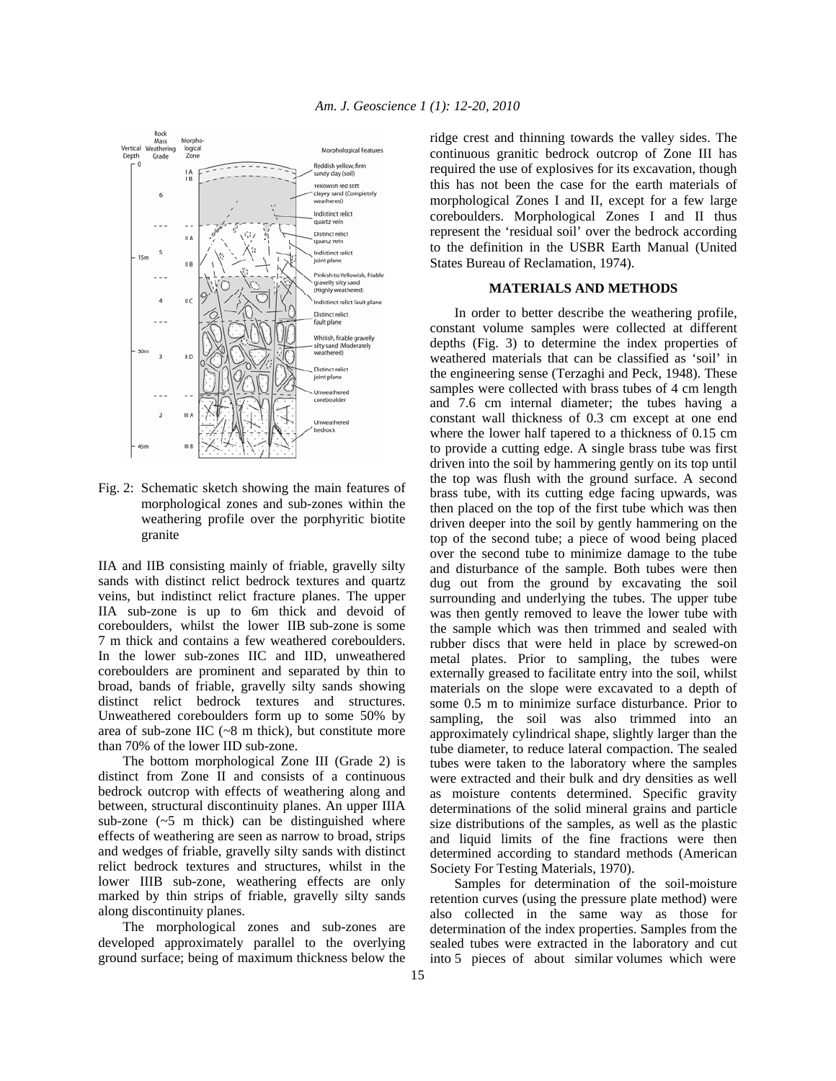

Fig. 2: Schematic sketch showing the main features of morphological zones and sub-zones within the weathering profile over the porphyritic biotite granite

IIA and IIB consisting mainly of friable, gravelly silty sands with distinct relict bedrock textures and quartz veins, but indistinct relict fracture planes. The upper IIA sub-zone is up to 6m thick and devoid of coreboulders, whilst the lower IIB sub-zone is some 7 m thick and contains a few weathered coreboulders. In the lower sub-zones IIC and IID, unweathered coreboulders are prominent and separated by thin to broad, bands of friable, gravelly silty sands showing distinct relict bedrock textures and structures. Unweathered coreboulders form up to some 50% by area of sub-zone IIC  $(\sim 8 \text{ m thick})$ , but constitute more than 70% of the lower IID sub-zone.

 The bottom morphological Zone III (Grade 2) is distinct from Zone II and consists of a continuous bedrock outcrop with effects of weathering along and between, structural discontinuity planes. An upper IIIA sub-zone  $(-5 \text{ m thick})$  can be distinguished where effects of weathering are seen as narrow to broad, strips and wedges of friable, gravelly silty sands with distinct relict bedrock textures and structures, whilst in the lower IIIB sub-zone, weathering effects are only marked by thin strips of friable, gravelly silty sands along discontinuity planes.

 The morphological zones and sub-zones are developed approximately parallel to the overlying ground surface; being of maximum thickness below the ridge crest and thinning towards the valley sides. The continuous granitic bedrock outcrop of Zone III has required the use of explosives for its excavation, though this has not been the case for the earth materials of morphological Zones I and II, except for a few large coreboulders. Morphological Zones I and II thus represent the 'residual soil' over the bedrock according to the definition in the USBR Earth Manual (United States Bureau of Reclamation, 1974).

#### **MATERIALS AND METHODS**

 In order to better describe the weathering profile, constant volume samples were collected at different depths (Fig. 3) to determine the index properties of weathered materials that can be classified as 'soil' in the engineering sense (Terzaghi and Peck, 1948). These samples were collected with brass tubes of 4 cm length and 7.6 cm internal diameter; the tubes having a constant wall thickness of 0.3 cm except at one end where the lower half tapered to a thickness of 0.15 cm to provide a cutting edge. A single brass tube was first driven into the soil by hammering gently on its top until the top was flush with the ground surface. A second brass tube, with its cutting edge facing upwards, was then placed on the top of the first tube which was then driven deeper into the soil by gently hammering on the top of the second tube; a piece of wood being placed over the second tube to minimize damage to the tube and disturbance of the sample. Both tubes were then dug out from the ground by excavating the soil surrounding and underlying the tubes. The upper tube was then gently removed to leave the lower tube with the sample which was then trimmed and sealed with rubber discs that were held in place by screwed-on metal plates. Prior to sampling, the tubes were externally greased to facilitate entry into the soil, whilst materials on the slope were excavated to a depth of some 0.5 m to minimize surface disturbance. Prior to sampling, the soil was also trimmed into an approximately cylindrical shape, slightly larger than the tube diameter, to reduce lateral compaction. The sealed tubes were taken to the laboratory where the samples were extracted and their bulk and dry densities as well as moisture contents determined. Specific gravity determinations of the solid mineral grains and particle size distributions of the samples, as well as the plastic and liquid limits of the fine fractions were then determined according to standard methods (American Society For Testing Materials, 1970).

 Samples for determination of the soil-moisture retention curves (using the pressure plate method) were also collected in the same way as those for determination of the index properties. Samples from the sealed tubes were extracted in the laboratory and cut into 5 pieces of about similar volumes which were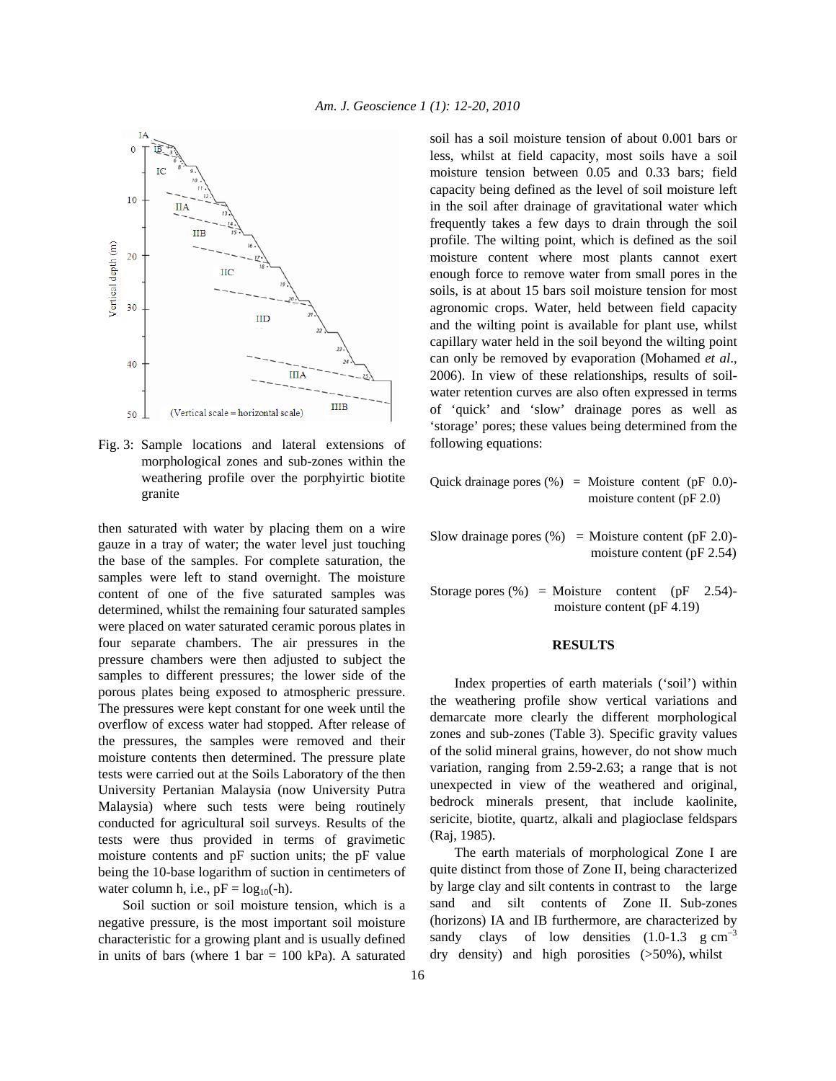

Fig. 3: Sample locations and lateral extensions of morphological zones and sub-zones within the weathering profile over the porphyirtic biotite granite

then saturated with water by placing them on a wire gauze in a tray of water; the water level just touching the base of the samples. For complete saturation, the samples were left to stand overnight. The moisture content of one of the five saturated samples was determined, whilst the remaining four saturated samples were placed on water saturated ceramic porous plates in four separate chambers. The air pressures in the pressure chambers were then adjusted to subject the samples to different pressures; the lower side of the porous plates being exposed to atmospheric pressure. The pressures were kept constant for one week until the overflow of excess water had stopped. After release of the pressures, the samples were removed and their moisture contents then determined. The pressure plate tests were carried out at the Soils Laboratory of the then University Pertanian Malaysia (now University Putra Malaysia) where such tests were being routinely conducted for agricultural soil surveys. Results of the tests were thus provided in terms of gravimetic moisture contents and pF suction units; the pF value being the 10-base logarithm of suction in centimeters of water column h, i.e.,  $pF = log_{10}(-h)$ .

 Soil suction or soil moisture tension, which is a negative pressure, is the most important soil moisture characteristic for a growing plant and is usually defined in units of bars (where  $1 \text{ bar} = 100 \text{ kPa}$ ). A saturated soil has a soil moisture tension of about 0.001 bars or less, whilst at field capacity, most soils have a soil moisture tension between 0.05 and 0.33 bars; field capacity being defined as the level of soil moisture left in the soil after drainage of gravitational water which frequently takes a few days to drain through the soil profile. The wilting point, which is defined as the soil moisture content where most plants cannot exert enough force to remove water from small pores in the soils, is at about 15 bars soil moisture tension for most agronomic crops. Water, held between field capacity and the wilting point is available for plant use, whilst capillary water held in the soil beyond the wilting point can only be removed by evaporation (Mohamed *et al*., 2006). In view of these relationships, results of soilwater retention curves are also often expressed in terms of 'quick' and 'slow' drainage pores as well as 'storage' pores; these values being determined from the following equations:

Quick drainage pores  $(\% )$  = Moisture content (pF 0.0)moisture content (pF 2.0)

Slow drainage pores  $(\% )$  = Moisture content (pF 2.0)moisture content (pF 2.54)

Storage pores  $(\%)$  = Moisture content (pF 2.54)moisture content (pF 4.19)

## **RESULTS**

 Index properties of earth materials ('soil') within the weathering profile show vertical variations and demarcate more clearly the different morphological zones and sub-zones (Table 3). Specific gravity values of the solid mineral grains, however, do not show much variation, ranging from 2.59-2.63; a range that is not unexpected in view of the weathered and original, bedrock minerals present, that include kaolinite, sericite, biotite, quartz, alkali and plagioclase feldspars (Raj, 1985).

 The earth materials of morphological Zone I are quite distinct from those of Zone II, being characterized by large clay and silt contents in contrast to the large sand and silt contents of Zone II. Sub-zones (horizons) IA and IB furthermore, are characterized by sandy clays of low densities  $(1.0-1.3 \text{ g cm}^{-3})$ dry density) and high porosities (>50%), whilst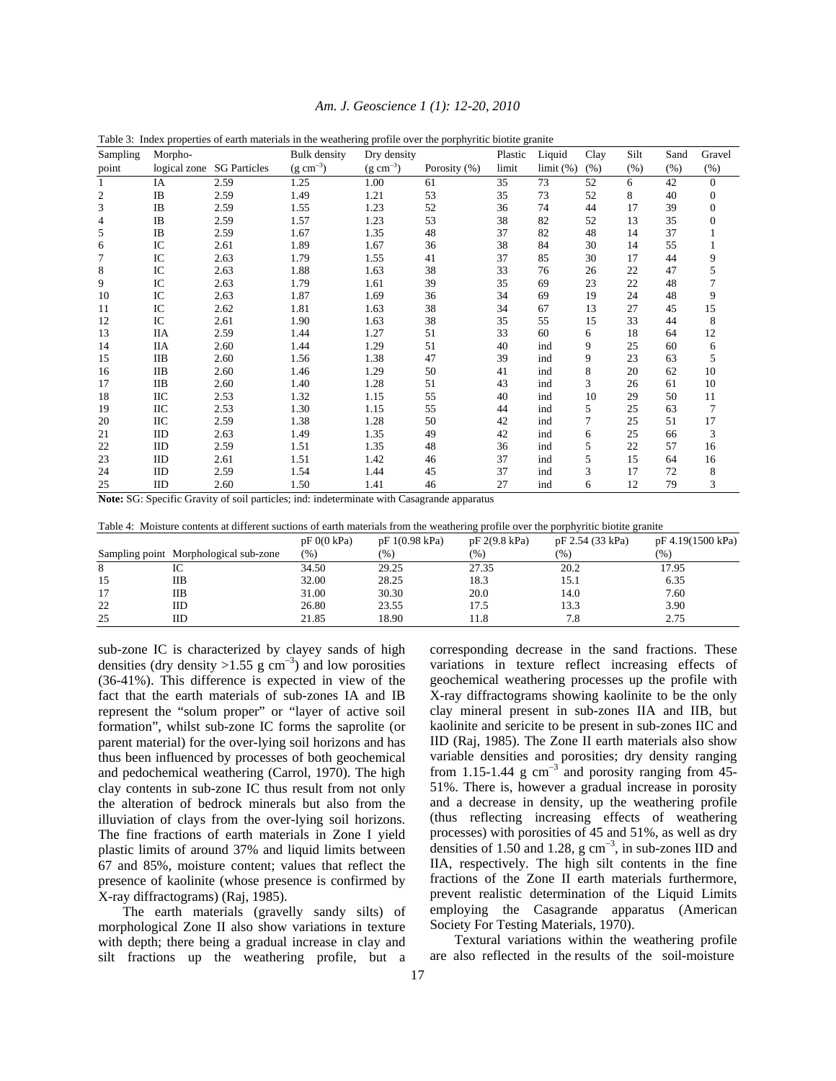| Am. J. Geoscience 1 (1): 12-20, 2010 |  |  |  |
|--------------------------------------|--|--|--|
|--------------------------------------|--|--|--|

| Sampling         | Morpho-      |                     | <b>Bulk</b> density | Dry density   |              | Plastic | Liquid    | Clay | Silt | Sand | Gravel         |
|------------------|--------------|---------------------|---------------------|---------------|--------------|---------|-----------|------|------|------|----------------|
| point            | logical zone | <b>SG Particles</b> | $(g cm^{-3})$       | $(g cm^{-3})$ | Porosity (%) | limit   | limit (%) | (% ) | (% ) | (% ) | (% )           |
|                  | IA           | 2.59                | 1.25                | 1.00          | 61           | 35      | 73        | 52   | 6    | 42   | $\mathbf{0}$   |
| $\boldsymbol{2}$ | IB           | 2.59                | 1.49                | 1.21          | 53           | 35      | 73        | 52   | 8    | 40   | $\overline{0}$ |
| 3                | IB           | 2.59                | 1.55                | 1.23          | 52           | 36      | 74        | 44   | 17   | 39   | $\theta$       |
| 4                | IB           | 2.59                | 1.57                | 1.23          | 53           | 38      | 82        | 52   | 13   | 35   | $\Omega$       |
| 5                | IB           | 2.59                | 1.67                | 1.35          | 48           | 37      | 82        | 48   | 14   | 37   |                |
| 6                | IC           | 2.61                | 1.89                | 1.67          | 36           | 38      | 84        | 30   | 14   | 55   |                |
| 7                | IC           | 2.63                | 1.79                | 1.55          | 41           | 37      | 85        | 30   | 17   | 44   | 9              |
| 8                | IC           | 2.63                | 1.88                | 1.63          | 38           | 33      | 76        | 26   | 22   | 47   | 5              |
| 9                | IC           | 2.63                | 1.79                | 1.61          | 39           | 35      | 69        | 23   | 22   | 48   |                |
| 10               | IC           | 2.63                | 1.87                | 1.69          | 36           | 34      | 69        | 19   | 24   | 48   | 9              |
| 11               | IC           | 2.62                | 1.81                | 1.63          | 38           | 34      | 67        | 13   | 27   | 45   | 15             |
| 12               | IC           | 2.61                | 1.90                | 1.63          | 38           | 35      | 55        | 15   | 33   | 44   | 8              |
| 13               | <b>IIA</b>   | 2.59                | 1.44                | 1.27          | 51           | 33      | 60        | 6    | 18   | 64   | 12             |
| 14               | IIА          | 2.60                | 1.44                | 1.29          | 51           | 40      | ind       | 9    | 25   | 60   | 6              |
| 15               | IIB          | 2.60                | 1.56                | 1.38          | 47           | 39      | ind       | 9    | 23   | 63   | 5              |
| 16               | IIB          | 2.60                | 1.46                | 1.29          | 50           | 41      | ind       | 8    | 20   | 62   | 10             |
| 17               | IIB          | 2.60                | 1.40                | 1.28          | 51           | 43      | ind       | 3    | 26   | 61   | 10             |
| 18               | IIC          | 2.53                | 1.32                | 1.15          | 55           | 40      | ind       | 10   | 29   | 50   | 11             |
| 19               | IIС          | 2.53                | 1.30                | 1.15          | 55           | 44      | ind       | 5    | 25   | 63   | 7              |
| 20               | IIC          | 2.59                | 1.38                | 1.28          | 50           | 42      | ind       | 7    | 25   | 51   | 17             |
| 21               | IID          | 2.63                | 1.49                | 1.35          | 49           | 42      | ind       | 6    | 25   | 66   | 3              |
| 22               | IID          | 2.59                | 1.51                | 1.35          | 48           | 36      | ind       | 5    | 22   | 57   | 16             |
| 23               | IID          | 2.61                | 1.51                | 1.42          | 46           | 37      | ind       | 5    | 15   | 64   | 16             |
| 24               | IID          | 2.59                | 1.54                | 1.44          | 45           | 37      | ind       | 3    | 17   | 72   | 8              |
| 25               | IID          | 2.60                | 1.50                | 1.41          | 46           | 27      | ind       | 6    | 12   | 79   | 3              |

Table 3: Index properties of earth materials in the weathering profile over the porphyritic biotite granite

**Note:** SG: Specific Gravity of soil particles; ind: indeterminate with Casagrande apparatus

|  |  |  |  | Table 4: Moisture contents at different suctions of earth materials from the weathering profile over the porphyritic biotite granite |
|--|--|--|--|--------------------------------------------------------------------------------------------------------------------------------------|
|  |  |  |  |                                                                                                                                      |

|    |                                       | $pF(0)$ kPa) | pF1(0.98 kPa) | pF 2(9.8 kPa) | pF 2.54 (33 kPa) | pF 4.19(1500 kPa) |
|----|---------------------------------------|--------------|---------------|---------------|------------------|-------------------|
|    | Sampling point Morphological sub-zone | (% )         | (%)           | (% )          | (% )             | (%)               |
| 8  |                                       | 34.50        | 29.25         | 27.35         | 20.2             | 17.95             |
| 15 | IІB                                   | 32.00        | 28.25         | 18.3          | 15.1             | 6.35              |
| 17 | IІB                                   | 31.00        | 30.30         | 20.0          | 14.0             | 7.60              |
| 22 | IID                                   | 26.80        | 23.55         | 17.5          | 13.3             | 3.90              |
| 25 | IID                                   | 21.85        | 18.90         | 11.8          | 7.8              | 2.75              |

sub-zone IC is characterized by clayey sands of high densities (dry density >1.55  $\text{g cm}^{-3}$ ) and low porosities (36-41%). This difference is expected in view of the fact that the earth materials of sub-zones IA and IB represent the "solum proper" or "layer of active soil formation", whilst sub-zone IC forms the saprolite (or parent material) for the over-lying soil horizons and has thus been influenced by processes of both geochemical and pedochemical weathering (Carrol, 1970). The high clay contents in sub-zone IC thus result from not only the alteration of bedrock minerals but also from the illuviation of clays from the over-lying soil horizons. The fine fractions of earth materials in Zone I yield plastic limits of around 37% and liquid limits between 67 and 85%, moisture content; values that reflect the presence of kaolinite (whose presence is confirmed by X-ray diffractograms) (Raj, 1985).

 The earth materials (gravelly sandy silts) of morphological Zone II also show variations in texture with depth; there being a gradual increase in clay and silt fractions up the weathering profile, but a corresponding decrease in the sand fractions. These variations in texture reflect increasing effects of geochemical weathering processes up the profile with X-ray diffractograms showing kaolinite to be the only clay mineral present in sub-zones IIA and IIB, but kaolinite and sericite to be present in sub-zones IIC and IID (Raj, 1985). The Zone II earth materials also show variable densities and porosities; dry density ranging from 1.15-1.44 g  $cm^{-3}$  and porosity ranging from 45-51%. There is, however a gradual increase in porosity and a decrease in density, up the weathering profile (thus reflecting increasing effects of weathering processes) with porosities of 45 and 51%, as well as dry densities of 1.50 and 1.28,  $g \text{ cm}^{-3}$ , in sub-zones IID and IIA, respectively. The high silt contents in the fine fractions of the Zone II earth materials furthermore, prevent realistic determination of the Liquid Limits employing the Casagrande apparatus (American Society For Testing Materials, 1970).

 Textural variations within the weathering profile are also reflected in the results of the soil-moisture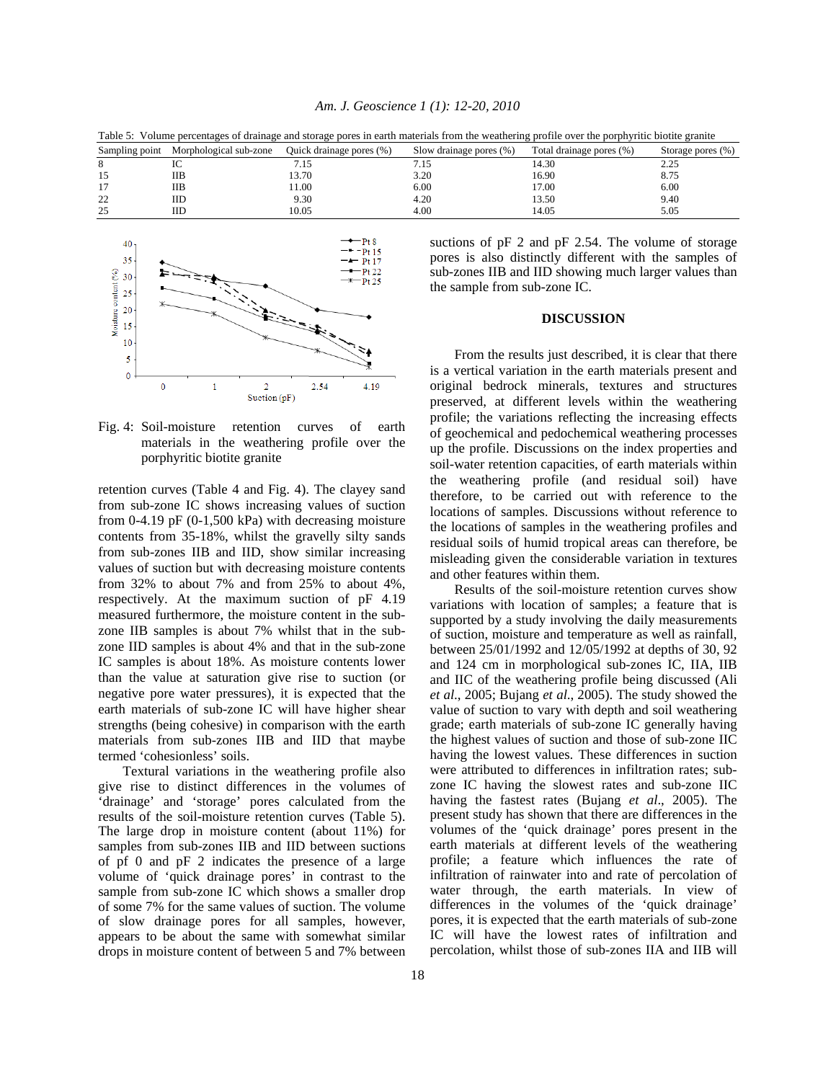Table 5: Volume percentages of drainage and storage pores in earth materials from the weathering profile over the porphyritic biotite granite Sampling point Morphological sub-zone Quick drainage pores (%) Slow drainage pores (%) Total drainage pores (%) Storage pores (%) 8 IC 7.15 7.15 14.30 2.25

|                     | $\mathbf{\sigma}$ | ________<br>. |      |       | .    |
|---------------------|-------------------|---------------|------|-------|------|
|                     | IC                | 7.15          | 7.15 | 14.30 | 2.25 |
| <b>I</b> J          | <b>IIB</b>        | 13.70         | 3.20 | 16.90 | 8.75 |
| $\overline{1}$      | <b>IIB</b>        | 11.00         | 6.00 | 17.00 | 6.00 |
| $\mathcal{D}$<br>∠∠ | IID               | 9.30          | 4.20 | 13.50 | 9.40 |
| 25                  | IID               | 10.05         | 4.00 | 14.05 | 5.05 |



Fig. 4: Soil-moisture retention curves of earth materials in the weathering profile over the porphyritic biotite granite

retention curves (Table 4 and Fig. 4). The clayey sand from sub-zone IC shows increasing values of suction from 0-4.19 pF  $(0-1,500 \text{ kPa})$  with decreasing moisture contents from 35-18%, whilst the gravelly silty sands from sub-zones IIB and IID, show similar increasing values of suction but with decreasing moisture contents from 32% to about 7% and from 25% to about 4%, respectively. At the maximum suction of pF 4.19 measured furthermore, the moisture content in the subzone IIB samples is about 7% whilst that in the subzone IID samples is about 4% and that in the sub-zone IC samples is about 18%. As moisture contents lower than the value at saturation give rise to suction (or negative pore water pressures), it is expected that the earth materials of sub-zone IC will have higher shear strengths (being cohesive) in comparison with the earth materials from sub-zones IIB and IID that maybe termed 'cohesionless' soils.

 Textural variations in the weathering profile also give rise to distinct differences in the volumes of 'drainage' and 'storage' pores calculated from the results of the soil-moisture retention curves (Table 5). The large drop in moisture content (about 11%) for samples from sub-zones IIB and IID between suctions of pf 0 and pF 2 indicates the presence of a large volume of 'quick drainage pores' in contrast to the sample from sub-zone IC which shows a smaller drop of some 7% for the same values of suction. The volume of slow drainage pores for all samples, however, appears to be about the same with somewhat similar drops in moisture content of between 5 and 7% between suctions of pF 2 and pF 2.54. The volume of storage pores is also distinctly different with the samples of sub-zones IIB and IID showing much larger values than the sample from sub-zone IC.

## **DISCUSSION**

 From the results just described, it is clear that there is a vertical variation in the earth materials present and original bedrock minerals, textures and structures preserved, at different levels within the weathering profile; the variations reflecting the increasing effects of geochemical and pedochemical weathering processes up the profile. Discussions on the index properties and soil-water retention capacities, of earth materials within the weathering profile (and residual soil) have therefore, to be carried out with reference to the locations of samples. Discussions without reference to the locations of samples in the weathering profiles and residual soils of humid tropical areas can therefore, be misleading given the considerable variation in textures and other features within them.

 Results of the soil-moisture retention curves show variations with location of samples; a feature that is supported by a study involving the daily measurements of suction, moisture and temperature as well as rainfall, between 25/01/1992 and 12/05/1992 at depths of 30, 92 and 124 cm in morphological sub-zones IC, IIA, IIB and IIC of the weathering profile being discussed (Ali *et al*., 2005; Bujang *et al*., 2005). The study showed the value of suction to vary with depth and soil weathering grade; earth materials of sub-zone IC generally having the highest values of suction and those of sub-zone IIC having the lowest values. These differences in suction were attributed to differences in infiltration rates; subzone IC having the slowest rates and sub-zone IIC having the fastest rates (Bujang *et al*., 2005). The present study has shown that there are differences in the volumes of the 'quick drainage' pores present in the earth materials at different levels of the weathering profile; a feature which influences the rate of infiltration of rainwater into and rate of percolation of water through, the earth materials. In view of differences in the volumes of the 'quick drainage' pores, it is expected that the earth materials of sub-zone IC will have the lowest rates of infiltration and percolation, whilst those of sub-zones IIA and IIB will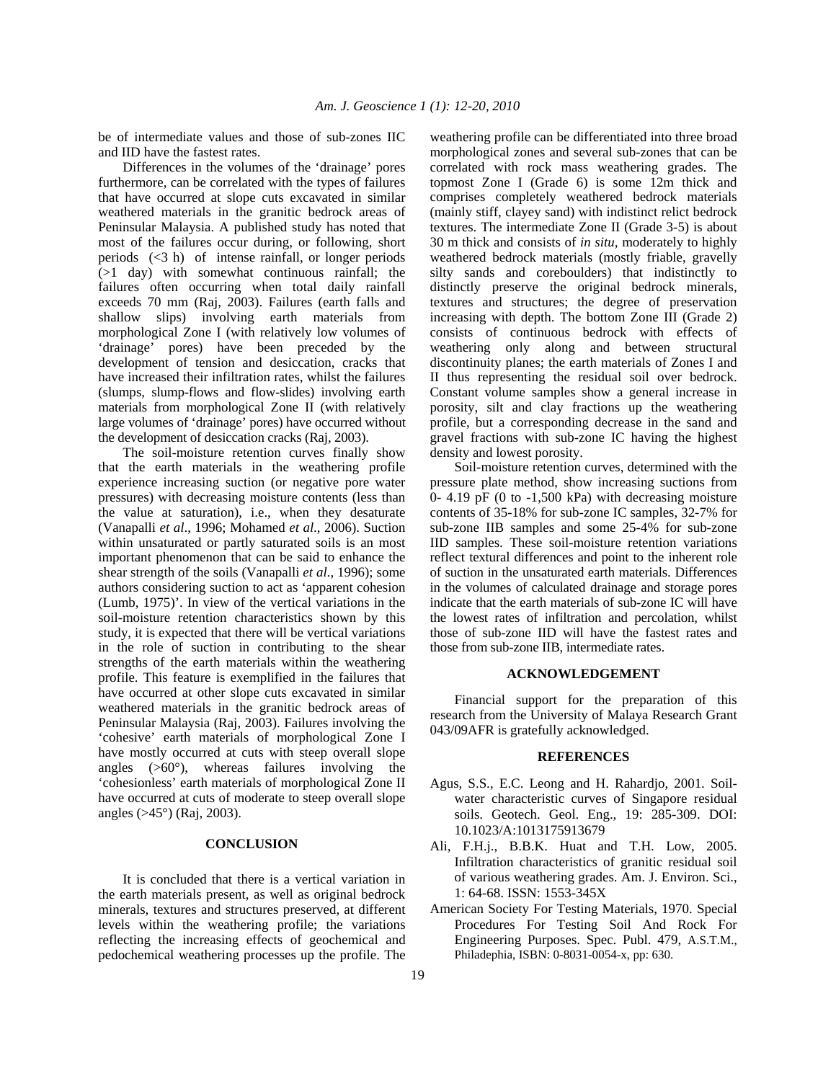be of intermediate values and those of sub-zones IIC and IID have the fastest rates.

 Differences in the volumes of the 'drainage' pores furthermore, can be correlated with the types of failures that have occurred at slope cuts excavated in similar weathered materials in the granitic bedrock areas of Peninsular Malaysia. A published study has noted that most of the failures occur during, or following, short periods (<3 h) of intense rainfall, or longer periods  $(>1$  day) with somewhat continuous rainfall; the failures often occurring when total daily rainfall exceeds 70 mm (Raj, 2003). Failures (earth falls and shallow slips) involving earth materials from morphological Zone I (with relatively low volumes of 'drainage' pores) have been preceded by the development of tension and desiccation, cracks that have increased their infiltration rates, whilst the failures (slumps, slump-flows and flow-slides) involving earth materials from morphological Zone II (with relatively large volumes of 'drainage' pores) have occurred without the development of desiccation cracks (Raj, 2003).

 The soil-moisture retention curves finally show that the earth materials in the weathering profile experience increasing suction (or negative pore water pressures) with decreasing moisture contents (less than the value at saturation), i.e., when they desaturate (Vanapalli *et al*., 1996; Mohamed *et al*., 2006). Suction within unsaturated or partly saturated soils is an most important phenomenon that can be said to enhance the shear strength of the soils (Vanapalli *et al*., 1996); some authors considering suction to act as 'apparent cohesion (Lumb, 1975)'. In view of the vertical variations in the soil-moisture retention characteristics shown by this study, it is expected that there will be vertical variations in the role of suction in contributing to the shear strengths of the earth materials within the weathering profile. This feature is exemplified in the failures that have occurred at other slope cuts excavated in similar weathered materials in the granitic bedrock areas of Peninsular Malaysia (Raj, 2003). Failures involving the 'cohesive' earth materials of morphological Zone I have mostly occurred at cuts with steep overall slope angles (>60°), whereas failures involving the 'cohesionless' earth materials of morphological Zone II have occurred at cuts of moderate to steep overall slope angles (>45°) (Raj, 2003).

### **CONCLUSION**

 It is concluded that there is a vertical variation in the earth materials present, as well as original bedrock minerals, textures and structures preserved, at different levels within the weathering profile; the variations reflecting the increasing effects of geochemical and pedochemical weathering processes up the profile. The

weathering profile can be differentiated into three broad morphological zones and several sub-zones that can be correlated with rock mass weathering grades. The topmost Zone I (Grade 6) is some 12m thick and comprises completely weathered bedrock materials (mainly stiff, clayey sand) with indistinct relict bedrock textures. The intermediate Zone II (Grade 3-5) is about 30 m thick and consists of *in situ,* moderately to highly weathered bedrock materials (mostly friable, gravelly silty sands and coreboulders) that indistinctly to distinctly preserve the original bedrock minerals, textures and structures; the degree of preservation increasing with depth. The bottom Zone III (Grade 2) consists of continuous bedrock with effects of weathering only along and between structural discontinuity planes; the earth materials of Zones I and II thus representing the residual soil over bedrock. Constant volume samples show a general increase in porosity, silt and clay fractions up the weathering profile, but a corresponding decrease in the sand and gravel fractions with sub-zone IC having the highest density and lowest porosity.

 Soil-moisture retention curves, determined with the pressure plate method, show increasing suctions from 0- 4.19 pF (0 to  $-1,500$  kPa) with decreasing moisture contents of 35-18% for sub-zone IC samples, 32-7% for sub-zone IIB samples and some 25-4% for sub-zone IID samples. These soil-moisture retention variations reflect textural differences and point to the inherent role of suction in the unsaturated earth materials. Differences in the volumes of calculated drainage and storage pores indicate that the earth materials of sub-zone IC will have the lowest rates of infiltration and percolation, whilst those of sub-zone IID will have the fastest rates and those from sub-zone IIB, intermediate rates.

# **ACKNOWLEDGEMENT**

 Financial support for the preparation of this research from the University of Malaya Research Grant 043/09AFR is gratefully acknowledged.

### **REFERENCES**

- Agus, S.S., E.C. Leong and H. Rahardjo, 2001. Soilwater characteristic curves of Singapore residual soils. Geotech. Geol. Eng., 19: 285-309. DOI: 10.1023/A:1013175913679
- Ali, F.H.j., B.B.K. Huat and T.H. Low, 2005. Infiltration characteristics of granitic residual soil of various weathering grades. Am. J. Environ. Sci., 1: 64-68. ISSN: 1553-345X
- American Society For Testing Materials, 1970. Special Procedures For Testing Soil And Rock For Engineering Purposes. Spec. Publ. 479, A.S.T.M., Philadephia, ISBN: 0-8031-0054-x, pp: 630.